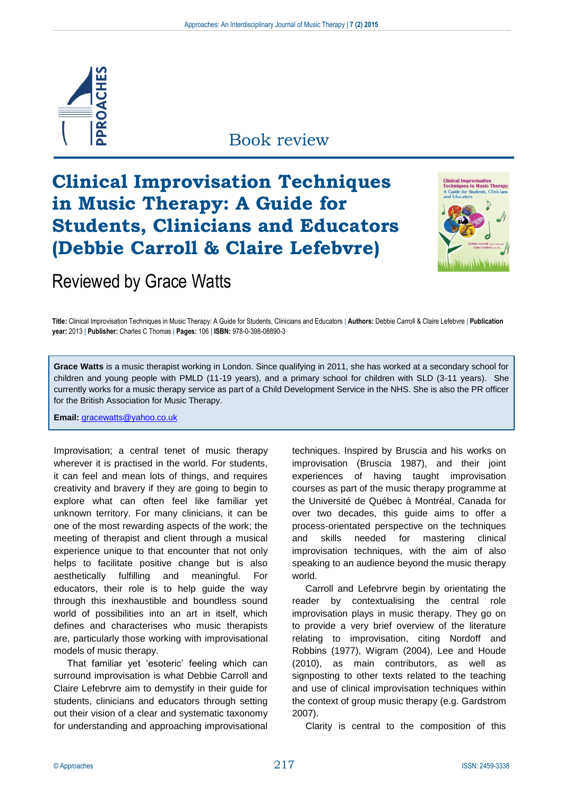

### Book review

# **Clinical Improvisation Techniques in Music Therapy: A Guide for Students, Clinicians and Educators (Debbie Carroll & Claire Lefebvre)**



## Reviewed by Grace Watts

**Title:** Clinical Improvisation Techniques in Music Therapy: A Guide for Students, Clinicians and Educators | **Authors:** Debbie Carroll & Claire Lefebvre | **Publication year:** 2013 | **Publisher:** Charles C Thomas | **Pages:** 106 | **ISBN:** 978-0-398-08890-3

**Grace Watts** is a music therapist working in London. Since qualifying in 2011, she has worked at a secondary school for children and young people with PMLD (11-19 years), and a primary school for children with SLD (3-11 years). She currently works for a music therapy service as part of a Child Development Service in the NHS. She is also the PR officer for the British Association for Music Therapy.

**Email:** [gracewatts@yahoo.co.uk](mailto:gracewatts@yahoo.co.uk)

Improvisation; a central tenet of music therapy wherever it is practised in the world. For students, it can feel and mean lots of things, and requires creativity and bravery if they are going to begin to explore what can often feel like familiar yet unknown territory. For many clinicians, it can be one of the most rewarding aspects of the work; the meeting of therapist and client through a musical experience unique to that encounter that not only helps to facilitate positive change but is also aesthetically fulfilling and meaningful. For educators, their role is to help guide the way through this inexhaustible and boundless sound world of possibilities into an art in itself, which defines and characterises who music therapists are, particularly those working with improvisational models of music therapy.

That familiar yet 'esoteric' feeling which can surround improvisation is what Debbie Carroll and Claire Lefebrvre aim to demystify in their guide for students, clinicians and educators through setting out their vision of a clear and systematic taxonomy for understanding and approaching improvisational

techniques. Inspired by Bruscia and his works on improvisation (Bruscia 1987), and their joint experiences of having taught improvisation courses as part of the music therapy programme at the Université de Québec à Montréal, Canada for over two decades, this guide aims to offer a process-orientated perspective on the techniques and skills needed for mastering clinical improvisation techniques, with the aim of also speaking to an audience beyond the music therapy world.

Carroll and Lefebrvre begin by orientating the reader by contextualising the central role improvisation plays in music therapy. They go on to provide a very brief overview of the literature relating to improvisation, citing Nordoff and Robbins (1977), Wigram (2004), Lee and Houde (2010), as main contributors, as well as signposting to other texts related to the teaching and use of clinical improvisation techniques within the context of group music therapy (e.g. Gardstrom 2007).

Clarity is central to the composition of this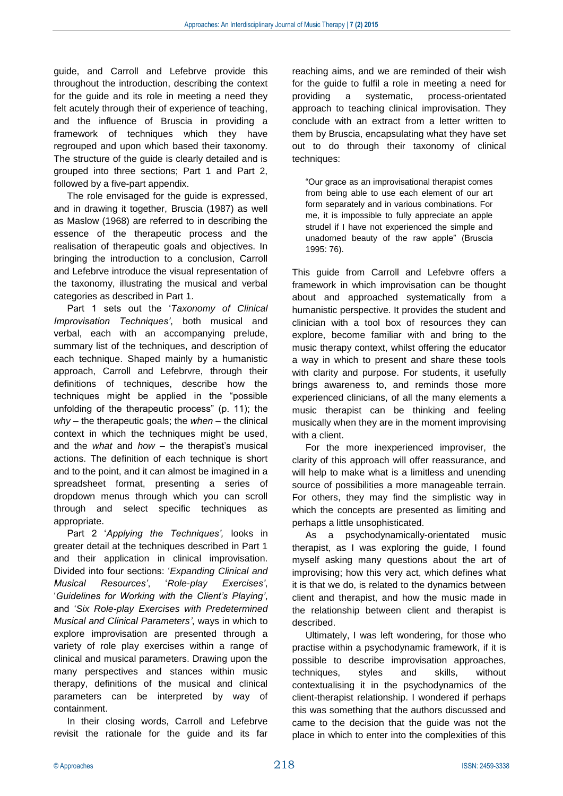guide, and Carroll and Lefebrve provide this throughout the introduction, describing the context for the guide and its role in meeting a need they felt acutely through their of experience of teaching, and the influence of Bruscia in providing a framework of techniques which they have regrouped and upon which based their taxonomy. The structure of the guide is clearly detailed and is grouped into three sections; Part 1 and Part 2, followed by a five-part appendix.

The role envisaged for the guide is expressed, and in drawing it together, Bruscia (1987) as well as Maslow (1968) are referred to in describing the essence of the therapeutic process and the realisation of therapeutic goals and objectives. In bringing the introduction to a conclusion, Carroll and Lefebrve introduce the visual representation of the taxonomy, illustrating the musical and verbal categories as described in Part 1.

Part 1 sets out the '*Taxonomy of Clinical Improvisation Techniques'*, both musical and verbal, each with an accompanying prelude, summary list of the techniques, and description of each technique. Shaped mainly by a humanistic approach, Carroll and Lefebrvre, through their definitions of techniques, describe how the techniques might be applied in the "possible unfolding of the therapeutic process" (p. 11); the *why* – the therapeutic goals; the *when* – the clinical context in which the techniques might be used, and the *what* and *how* – the therapist's musical actions. The definition of each technique is short and to the point, and it can almost be imagined in a spreadsheet format, presenting a series of dropdown menus through which you can scroll through and select specific techniques as appropriate.

Part 2 '*Applying the Techniques',* looks in greater detail at the techniques described in Part 1 and their application in clinical improvisation. Divided into four sections: '*Expanding Clinical and Musical Resources'*, '*Role-play Exercises'*, '*Guidelines for Working with the Client's Playing'*, and '*Six Role-play Exercises with Predetermined Musical and Clinical Parameters'*, ways in which to explore improvisation are presented through a variety of role play exercises within a range of clinical and musical parameters. Drawing upon the many perspectives and stances within music therapy, definitions of the musical and clinical parameters can be interpreted by way of containment.

In their closing words, Carroll and Lefebrve revisit the rationale for the guide and its far

reaching aims, and we are reminded of their wish for the guide to fulfil a role in meeting a need for providing a systematic, process-orientated approach to teaching clinical improvisation. They conclude with an extract from a letter written to them by Bruscia, encapsulating what they have set out to do through their taxonomy of clinical techniques:

"Our grace as an improvisational therapist comes from being able to use each element of our art form separately and in various combinations. For me, it is impossible to fully appreciate an apple strudel if I have not experienced the simple and unadorned beauty of the raw apple" (Bruscia 1995: 76).

This guide from Carroll and Lefebvre offers a framework in which improvisation can be thought about and approached systematically from a humanistic perspective. It provides the student and clinician with a tool box of resources they can explore, become familiar with and bring to the music therapy context, whilst offering the educator a way in which to present and share these tools with clarity and purpose. For students, it usefully brings awareness to, and reminds those more experienced clinicians, of all the many elements a music therapist can be thinking and feeling musically when they are in the moment improvising with a client.

For the more inexperienced improviser, the clarity of this approach will offer reassurance, and will help to make what is a limitless and unending source of possibilities a more manageable terrain. For others, they may find the simplistic way in which the concepts are presented as limiting and perhaps a little unsophisticated.

As a psychodynamically-orientated music therapist, as I was exploring the guide, I found myself asking many questions about the art of improvising; how this very act, which defines what it is that we do, is related to the dynamics between client and therapist, and how the music made in the relationship between client and therapist is described.

Ultimately, I was left wondering, for those who practise within a psychodynamic framework, if it is possible to describe improvisation approaches, techniques, styles and skills, without contextualising it in the psychodynamics of the client-therapist relationship. I wondered if perhaps this was something that the authors discussed and came to the decision that the guide was not the place in which to enter into the complexities of this